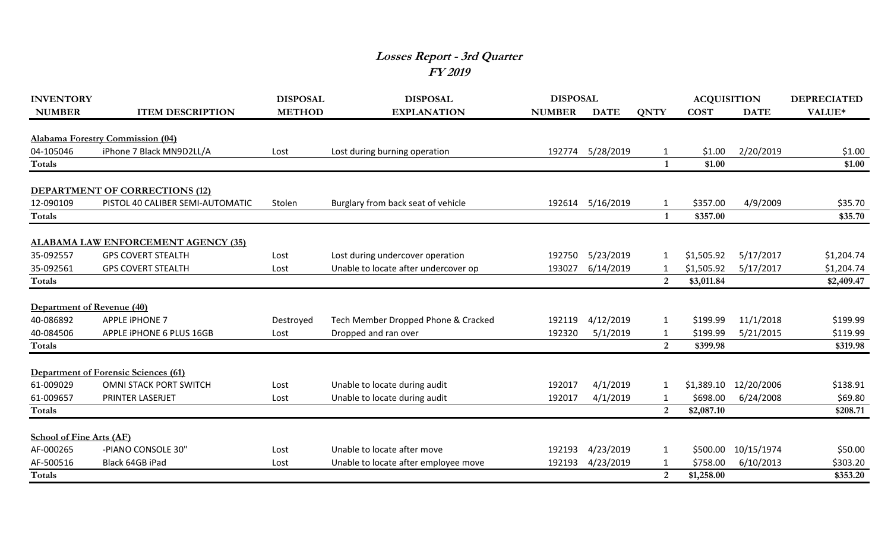## **Losses Report - 3rd Quarter FY 2019**

| <b>INVENTORY</b>                |                                             | <b>DISPOSAL</b> | <b>DISPOSAL</b>                      | <b>DISPOSAL</b> |             |                         | <b>ACQUISITION</b>   |             | <b>DEPRECIATED</b>   |
|---------------------------------|---------------------------------------------|-----------------|--------------------------------------|-----------------|-------------|-------------------------|----------------------|-------------|----------------------|
| <b>NUMBER</b>                   | <b>ITEM DESCRIPTION</b>                     | <b>METHOD</b>   | <b>EXPLANATION</b>                   | <b>NUMBER</b>   | <b>DATE</b> | <b>QNTY</b>             | <b>COST</b>          | <b>DATE</b> | VALUE*               |
|                                 |                                             |                 |                                      |                 |             |                         |                      |             |                      |
|                                 | <b>Alabama Forestry Commission (04)</b>     |                 |                                      |                 |             |                         |                      |             |                      |
| 04-105046                       | iPhone 7 Black MN9D2LL/A                    | Lost            | Lost during burning operation        | 192774          | 5/28/2019   | 1                       | \$1.00               | 2/20/2019   | \$1.00               |
| Totals                          |                                             |                 |                                      |                 |             | $\overline{\mathbf{1}}$ | \$1.00               |             | \$1.00               |
|                                 | <b>DEPARTMENT OF CORRECTIONS (12)</b>       |                 |                                      |                 |             |                         |                      |             |                      |
| 12-090109                       | PISTOL 40 CALIBER SEMI-AUTOMATIC            | Stolen          | Burglary from back seat of vehicle   | 192614          | 5/16/2019   | 1                       | \$357.00             | 4/9/2009    | \$35.70              |
| Totals                          |                                             |                 |                                      |                 |             | $\overline{\mathbf{1}}$ | \$357.00             |             | \$35.70              |
|                                 |                                             |                 |                                      |                 |             |                         |                      |             |                      |
|                                 | <b>ALABAMA LAW ENFORCEMENT AGENCY (35)</b>  |                 |                                      |                 |             |                         |                      |             |                      |
| 35-092557                       | <b>GPS COVERT STEALTH</b>                   | Lost            | Lost during undercover operation     | 192750          | 5/23/2019   | 1                       | \$1,505.92           | 5/17/2017   | \$1,204.74           |
| 35-092561                       | <b>GPS COVERT STEALTH</b>                   | Lost            | Unable to locate after undercover op | 193027          | 6/14/2019   | 1                       | \$1,505.92           | 5/17/2017   | \$1,204.74           |
| Totals                          |                                             |                 |                                      |                 |             | 2                       | \$3,011.84           |             | \$2,409.47           |
| Department of Revenue (40)      |                                             |                 |                                      |                 |             |                         |                      |             |                      |
| 40-086892                       | <b>APPLE IPHONE 7</b>                       |                 |                                      | 192119          | 4/12/2019   | $\mathbf{1}$            | \$199.99             | 11/1/2018   | \$199.99             |
|                                 |                                             | Destroyed       | Tech Member Dropped Phone & Cracked  |                 |             |                         |                      |             |                      |
| 40-084506<br>Totals             | APPLE IPHONE 6 PLUS 16GB                    | Lost            | Dropped and ran over                 | 192320          | 5/1/2019    | 1<br>2                  | \$199.99<br>\$399.98 | 5/21/2015   | \$119.99<br>\$319.98 |
|                                 |                                             |                 |                                      |                 |             |                         |                      |             |                      |
|                                 | <b>Department of Forensic Sciences (61)</b> |                 |                                      |                 |             |                         |                      |             |                      |
| 61-009029                       | <b>OMNI STACK PORT SWITCH</b>               | Lost            | Unable to locate during audit        | 192017          | 4/1/2019    |                         | \$1,389.10           | 12/20/2006  | \$138.91             |
| 61-009657                       | PRINTER LASERJET                            | Lost            | Unable to locate during audit        | 192017          | 4/1/2019    |                         | \$698.00             | 6/24/2008   | \$69.80              |
| Totals                          |                                             |                 |                                      |                 |             | 2                       | \$2,087.10           |             | \$208.71             |
|                                 |                                             |                 |                                      |                 |             |                         |                      |             |                      |
| <b>School of Fine Arts (AF)</b> |                                             |                 |                                      |                 |             |                         |                      |             |                      |
| AF-000265                       | -PIANO CONSOLE 30"                          | Lost            | Unable to locate after move          | 192193          | 4/23/2019   | 1                       | \$500.00             | 10/15/1974  | \$50.00              |
| AF-500516                       | Black 64GB iPad                             | Lost            | Unable to locate after employee move | 192193          | 4/23/2019   | -1                      | \$758.00             | 6/10/2013   | \$303.20             |
| <b>Totals</b>                   |                                             |                 |                                      |                 |             | 2                       | \$1,258.00           |             | \$353.20             |